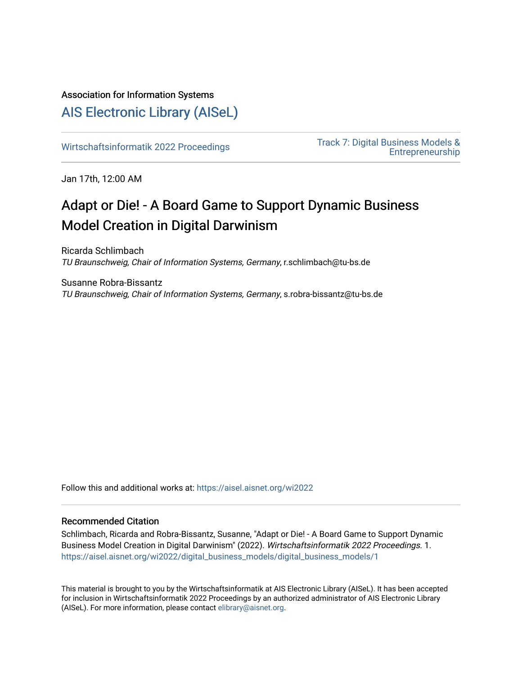# Association for Information Systems

# [AIS Electronic Library \(AISeL\)](https://aisel.aisnet.org/)

[Wirtschaftsinformatik 2022 Proceedings](https://aisel.aisnet.org/wi2022) [Track 7: Digital Business Models &](https://aisel.aisnet.org/wi2022/digital_business_models)  [Entrepreneurship](https://aisel.aisnet.org/wi2022/digital_business_models) 

Jan 17th, 12:00 AM

# Adapt or Die! - A Board Game to Support Dynamic Business Model Creation in Digital Darwinism

Ricarda Schlimbach TU Braunschweig, Chair of Information Systems, Germany, r.schlimbach@tu-bs.de

Susanne Robra-Bissantz TU Braunschweig, Chair of Information Systems, Germany, s.robra-bissantz@tu-bs.de

Follow this and additional works at: [https://aisel.aisnet.org/wi2022](https://aisel.aisnet.org/wi2022?utm_source=aisel.aisnet.org%2Fwi2022%2Fdigital_business_models%2Fdigital_business_models%2F1&utm_medium=PDF&utm_campaign=PDFCoverPages) 

# Recommended Citation

Schlimbach, Ricarda and Robra-Bissantz, Susanne, "Adapt or Die! - A Board Game to Support Dynamic Business Model Creation in Digital Darwinism" (2022). Wirtschaftsinformatik 2022 Proceedings. 1. [https://aisel.aisnet.org/wi2022/digital\\_business\\_models/digital\\_business\\_models/1](https://aisel.aisnet.org/wi2022/digital_business_models/digital_business_models/1?utm_source=aisel.aisnet.org%2Fwi2022%2Fdigital_business_models%2Fdigital_business_models%2F1&utm_medium=PDF&utm_campaign=PDFCoverPages) 

This material is brought to you by the Wirtschaftsinformatik at AIS Electronic Library (AISeL). It has been accepted for inclusion in Wirtschaftsinformatik 2022 Proceedings by an authorized administrator of AIS Electronic Library (AISeL). For more information, please contact [elibrary@aisnet.org](mailto:elibrary@aisnet.org%3E).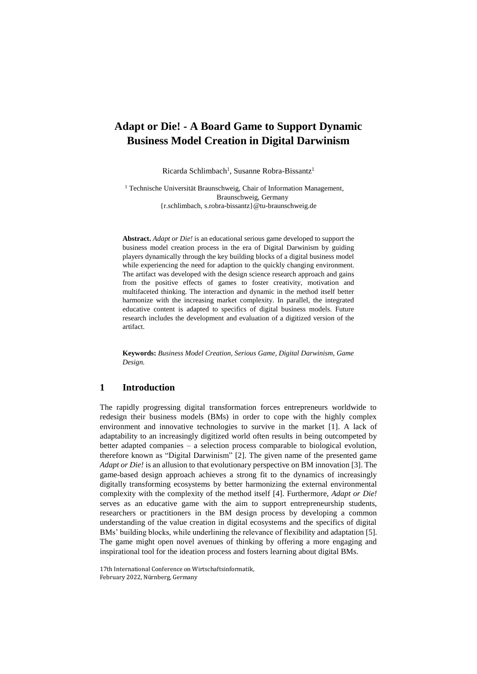# **Adapt or Die! - A Board Game to Support Dynamic Business Model Creation in Digital Darwinism**

Ricarda Schlimbach<sup>1</sup>, Susanne Robra-Bissantz<sup>1</sup>

<sup>1</sup> Technische Universität Braunschweig, Chair of Information Management, Braunschweig, Germany {r.schlimbach, s.robra-bissantz}@tu-braunschweig.de

**Abstract.** *Adapt or Die!* is an educational serious game developed to support the business model creation process in the era of Digital Darwinism by guiding players dynamically through the key building blocks of a digital business model while experiencing the need for adaption to the quickly changing environment. The artifact was developed with the design science research approach and gains from the positive effects of games to foster creativity, motivation and multifaceted thinking. The interaction and dynamic in the method itself better harmonize with the increasing market complexity. In parallel, the integrated educative content is adapted to specifics of digital business models. Future research includes the development and evaluation of a digitized version of the artifact.

**Keywords:** *Business Model Creation, Serious Game, Digital Darwinism, Game Design.*

# **1 Introduction**

The rapidly progressing digital transformation forces entrepreneurs worldwide to redesign their business models (BMs) in order to cope with the highly complex environment and innovative technologies to survive in the market [1]. A lack of adaptability to an increasingly digitized world often results in being outcompeted by better adapted companies – a selection process comparable to biological evolution, therefore known as "Digital Darwinism" [2]. The given name of the presented game *Adapt or Die!* is an allusion to that evolutionary perspective on BM innovation [3]. The game-based design approach achieves a strong fit to the dynamics of increasingly digitally transforming ecosystems by better harmonizing the external environmental complexity with the complexity of the method itself [4]. Furthermore, *Adapt or Die!* serves as an educative game with the aim to support entrepreneurship students, researchers or practitioners in the BM design process by developing a common understanding of the value creation in digital ecosystems and the specifics of digital BMs' building blocks, while underlining the relevance of flexibility and adaptation [5]. The game might open novel avenues of thinking by offering a more engaging and inspirational tool for the ideation process and fosters learning about digital BMs.

17th International Conference on Wirtschaftsinformatik, February 2022, Nürnberg, Germany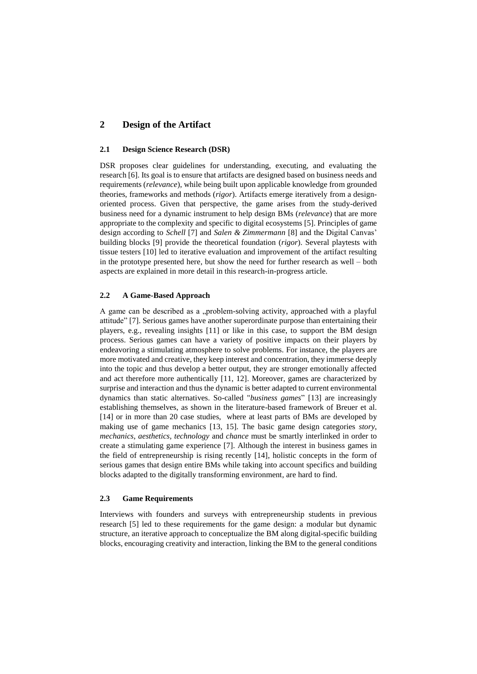# **2 Design of the Artifact**

#### **2.1 Design Science Research (DSR)**

DSR proposes clear guidelines for understanding, executing, and evaluating the research [6]. Its goal is to ensure that artifacts are designed based on business needs and requirements (*relevance*), while being built upon applicable knowledge from grounded theories, frameworks and methods (*rigor*). Artifacts emerge iteratively from a designoriented process. Given that perspective, the game arises from the study-derived business need for a dynamic instrument to help design BMs (*relevance*) that are more appropriate to the complexity and specific to digital ecosystems [5]. Principles of game design according to *Schell* [7] and *Salen & Zimmermann* [8] and the Digital Canvas' building blocks [9] provide the theoretical foundation (*rigor*). Several playtests with tissue testers [10] led to iterative evaluation and improvement of the artifact resulting in the prototype presented here, but show the need for further research as well – both aspects are explained in more detail in this research-in-progress article.

## **2.2 A Game-Based Approach**

A game can be described as a "problem-solving activity, approached with a playful attitude" [7]. Serious games have another superordinate purpose than entertaining their players, e.g., revealing insights [11] or like in this case, to support the BM design process. Serious games can have a variety of positive impacts on their players by endeavoring a stimulating atmosphere to solve problems. For instance, the players are more motivated and creative, they keep interest and concentration, they immerse deeply into the topic and thus develop a better output, they are stronger emotionally affected and act therefore more authentically [11, 12]. Moreover, games are characterized by surprise and interaction and thus the dynamic is better adapted to current environmental dynamics than static alternatives. So-called "*business games*" [13] are increasingly establishing themselves, as shown in the literature-based framework of Breuer et al. [14] or in more than 20 case studies, where at least parts of BMs are developed by making use of game mechanics [13, 15]. The basic game design categories *story*, *mechanics*, *aesthetics, technology* and *chance* must be smartly interlinked in order to create a stimulating game experience [7]. Although the interest in business games in the field of entrepreneurship is rising recently [14], holistic concepts in the form of serious games that design entire BMs while taking into account specifics and building blocks adapted to the digitally transforming environment, are hard to find.

#### **2.3 Game Requirements**

Interviews with founders and surveys with entrepreneurship students in previous research [5] led to these requirements for the game design: a modular but dynamic structure, an iterative approach to conceptualize the BM along digital-specific building blocks, encouraging creativity and interaction, linking the BM to the general conditions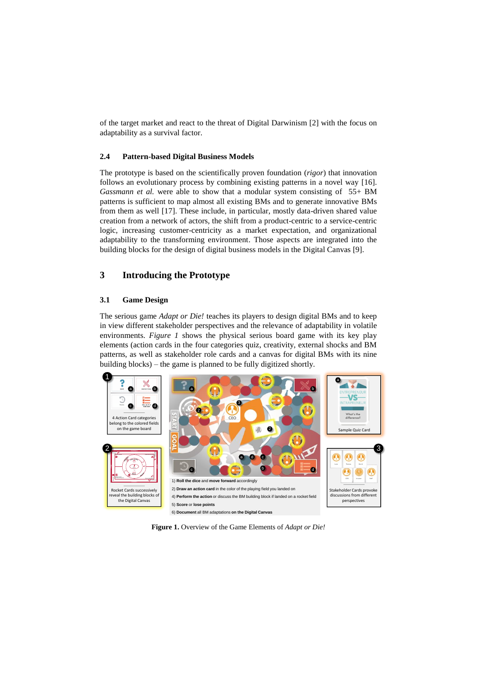of the target market and react to the threat of Digital Darwinism [2] with the focus on adaptability as a survival factor.

#### **2.4 Pattern-based Digital Business Models**

The prototype is based on the scientifically proven foundation (*rigor*) that innovation follows an evolutionary process by combining existing patterns in a novel way [16]. *Gassmann et al.* were able to show that a modular system consisting of 55+ BM patterns is sufficient to map almost all existing BMs and to generate innovative BMs from them as well [17]. These include, in particular, mostly data-driven shared value creation from a network of actors, the shift from a product-centric to a service-centric logic, increasing customer-centricity as a market expectation, and organizational adaptability to the transforming environment. Those aspects are integrated into the building blocks for the design of digital business models in the Digital Canvas [9].

## **3 Introducing the Prototype**

#### **3.1 Game Design**

The serious game *Adapt or Die!* teaches its players to design digital BMs and to keep in view different stakeholder perspectives and the relevance of adaptability in volatile environments. *Figure 1* shows the physical serious board game with its key play elements (action cards in the four categories quiz, creativity, external shocks and BM patterns, as well as stakeholder role cards and a canvas for digital BMs with its nine building blocks) – the game is planned to be fully digitized shortly.



**Figure 1.** Overview of the Game Elements of *Adapt or Die!*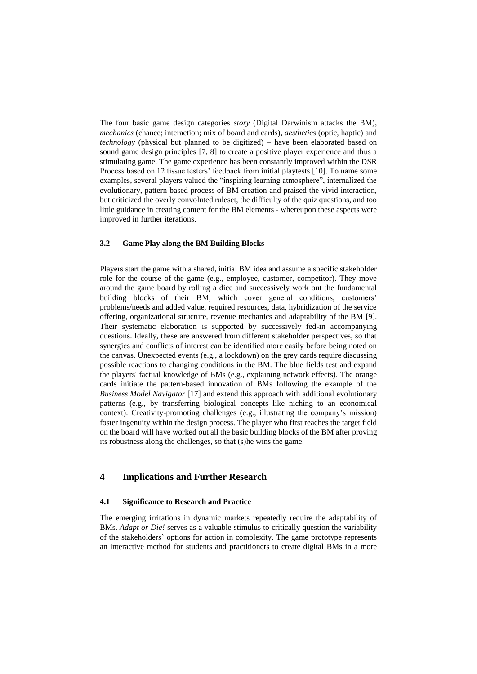The four basic game design categories *story* (Digital Darwinism attacks the BM), *mechanics* (chance; interaction; mix of board and cards), *aesthetics* (optic, haptic) and *technology* (physical but planned to be digitized) – have been elaborated based on sound game design principles [7, 8] to create a positive player experience and thus a stimulating game. The game experience has been constantly improved within the DSR Process based on 12 tissue testers' feedback from initial playtests [10]. To name some examples, several players valued the "inspiring learning atmosphere", internalized the evolutionary, pattern-based process of BM creation and praised the vivid interaction, but criticized the overly convoluted ruleset, the difficulty of the quiz questions, and too little guidance in creating content for the BM elements - whereupon these aspects were improved in further iterations.

#### **3.2 Game Play along the BM Building Blocks**

Players start the game with a shared, initial BM idea and assume a specific stakeholder role for the course of the game (e.g., employee, customer, competitor). They move around the game board by rolling a dice and successively work out the fundamental building blocks of their BM, which cover general conditions, customers' problems/needs and added value, required resources, data, hybridization of the service offering, organizational structure, revenue mechanics and adaptability of the BM [9]. Their systematic elaboration is supported by successively fed-in accompanying questions. Ideally, these are answered from different stakeholder perspectives, so that synergies and conflicts of interest can be identified more easily before being noted on the canvas. Unexpected events (e.g., a lockdown) on the grey cards require discussing possible reactions to changing conditions in the BM. The blue fields test and expand the players' factual knowledge of BMs (e.g., explaining network effects). The orange cards initiate the pattern-based innovation of BMs following the example of the *Business Model Navigator* [17] and extend this approach with additional evolutionary patterns (e.g., by transferring biological concepts like niching to an economical context). Creativity-promoting challenges (e.g., illustrating the company's mission) foster ingenuity within the design process. The player who first reaches the target field on the board will have worked out all the basic building blocks of the BM after proving its robustness along the challenges, so that (s)he wins the game.

# **4 Implications and Further Research**

#### **4.1 Significance to Research and Practice**

The emerging irritations in dynamic markets repeatedly require the adaptability of BMs. *Adapt or Die!* serves as a valuable stimulus to critically question the variability of the stakeholders` options for action in complexity. The game prototype represents an interactive method for students and practitioners to create digital BMs in a more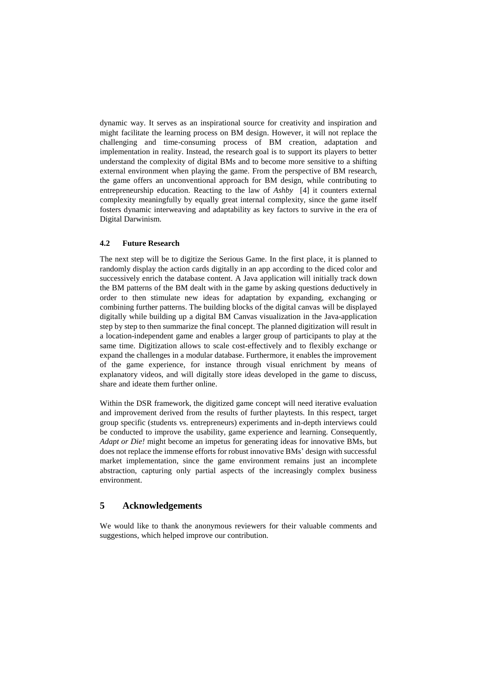dynamic way. It serves as an inspirational source for creativity and inspiration and might facilitate the learning process on BM design. However, it will not replace the challenging and time-consuming process of BM creation, adaptation and implementation in reality. Instead, the research goal is to support its players to better understand the complexity of digital BMs and to become more sensitive to a shifting external environment when playing the game. From the perspective of BM research, the game offers an unconventional approach for BM design, while contributing to entrepreneurship education. Reacting to the law of *Ashby* [4] it counters external complexity meaningfully by equally great internal complexity, since the game itself fosters dynamic interweaving and adaptability as key factors to survive in the era of Digital Darwinism.

#### **4.2 Future Research**

The next step will be to digitize the Serious Game. In the first place, it is planned to randomly display the action cards digitally in an app according to the diced color and successively enrich the database content. A Java application will initially track down the BM patterns of the BM dealt with in the game by asking questions deductively in order to then stimulate new ideas for adaptation by expanding, exchanging or combining further patterns. The building blocks of the digital canvas will be displayed digitally while building up a digital BM Canvas visualization in the Java-application step by step to then summarize the final concept. The planned digitization will result in a location-independent game and enables a larger group of participants to play at the same time. Digitization allows to scale cost-effectively and to flexibly exchange or expand the challenges in a modular database. Furthermore, it enables the improvement of the game experience, for instance through visual enrichment by means of explanatory videos, and will digitally store ideas developed in the game to discuss, share and ideate them further online.

Within the DSR framework, the digitized game concept will need iterative evaluation and improvement derived from the results of further playtests. In this respect, target group specific (students vs. entrepreneurs) experiments and in-depth interviews could be conducted to improve the usability, game experience and learning. Consequently, *Adapt or Die!* might become an impetus for generating ideas for innovative BMs, but does not replace the immense efforts for robust innovative BMs' design with successful market implementation, since the game environment remains just an incomplete abstraction, capturing only partial aspects of the increasingly complex business environment.

# **5 Acknowledgements**

We would like to thank the anonymous reviewers for their valuable comments and suggestions, which helped improve our contribution.